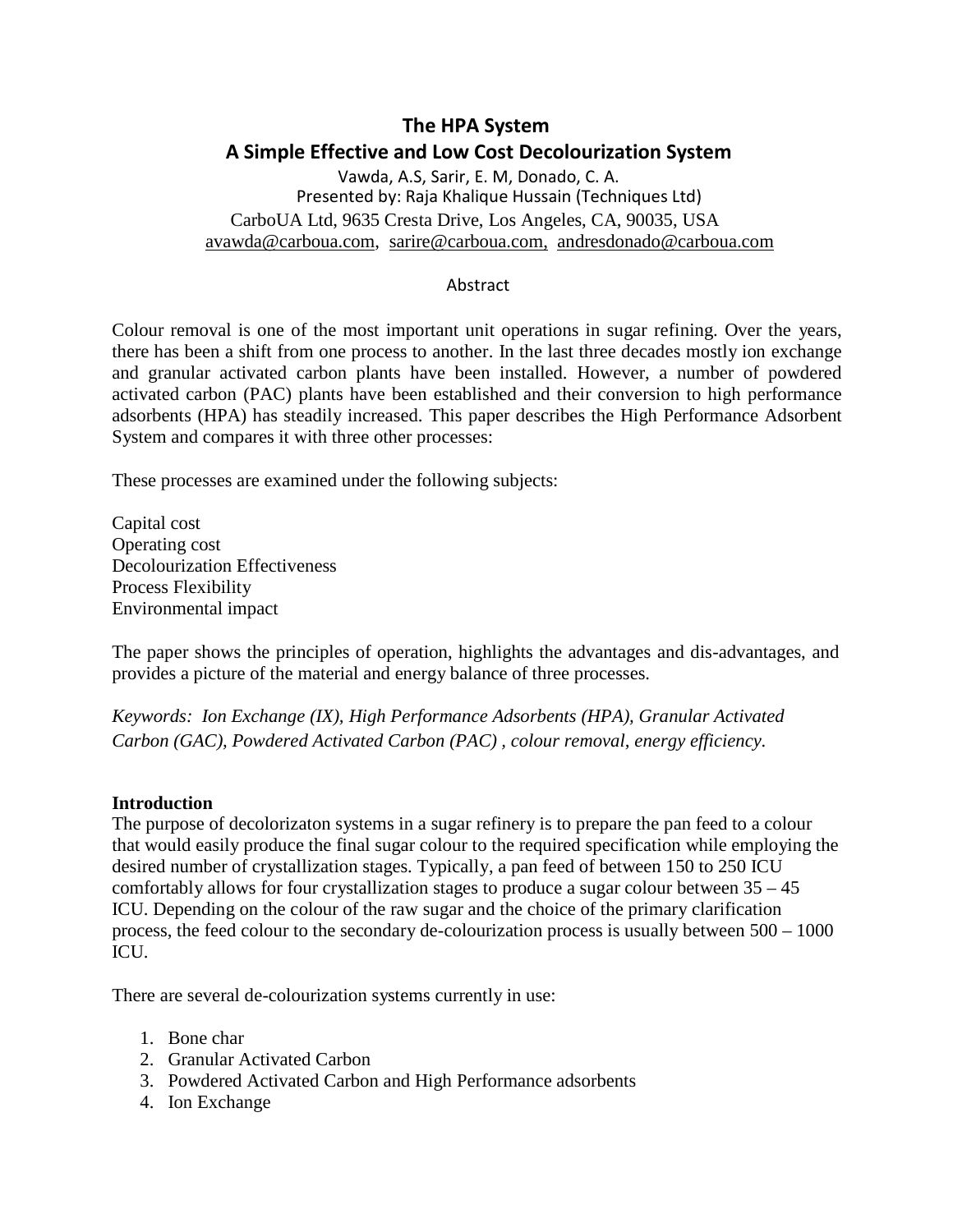# **The HPA System A Simple Effective and Low Cost Decolourization System**

Vawda, A.S, Sarir, E. M, Donado, C. A. Presented by: Raja Khalique Hussain (Techniques Ltd) CarboUA Ltd, 9635 Cresta Drive, Los Angeles, CA, 90035, USA [avawda@carboua.com,](mailto:avawda@carboua.com) [sarire@carboua.com,](mailto:avawda@carboua.com) [andresdonado@carboua.com](mailto:andresdonado@carboua.com)

#### Abstract

Colour removal is one of the most important unit operations in sugar refining. Over the years, there has been a shift from one process to another. In the last three decades mostly ion exchange and granular activated carbon plants have been installed. However, a number of powdered activated carbon (PAC) plants have been established and their conversion to high performance adsorbents (HPA) has steadily increased. This paper describes the High Performance Adsorbent System and compares it with three other processes:

These processes are examined under the following subjects:

Capital cost Operating cost Decolourization Effectiveness Process Flexibility Environmental impact

The paper shows the principles of operation, highlights the advantages and dis-advantages, and provides a picture of the material and energy balance of three processes.

*Keywords: Ion Exchange (IX), High Performance Adsorbents (HPA), Granular Activated Carbon (GAC), Powdered Activated Carbon (PAC) , colour removal, energy efficiency.*

#### **Introduction**

The purpose of decolorizaton systems in a sugar refinery is to prepare the pan feed to a colour that would easily produce the final sugar colour to the required specification while employing the desired number of crystallization stages. Typically, a pan feed of between 150 to 250 ICU comfortably allows for four crystallization stages to produce a sugar colour between 35 – 45 ICU. Depending on the colour of the raw sugar and the choice of the primary clarification process, the feed colour to the secondary de-colourization process is usually between 500 – 1000 ICU.

There are several de-colourization systems currently in use:

- 1. Bone char
- 2. Granular Activated Carbon
- 3. Powdered Activated Carbon and High Performance adsorbents
- 4. Ion Exchange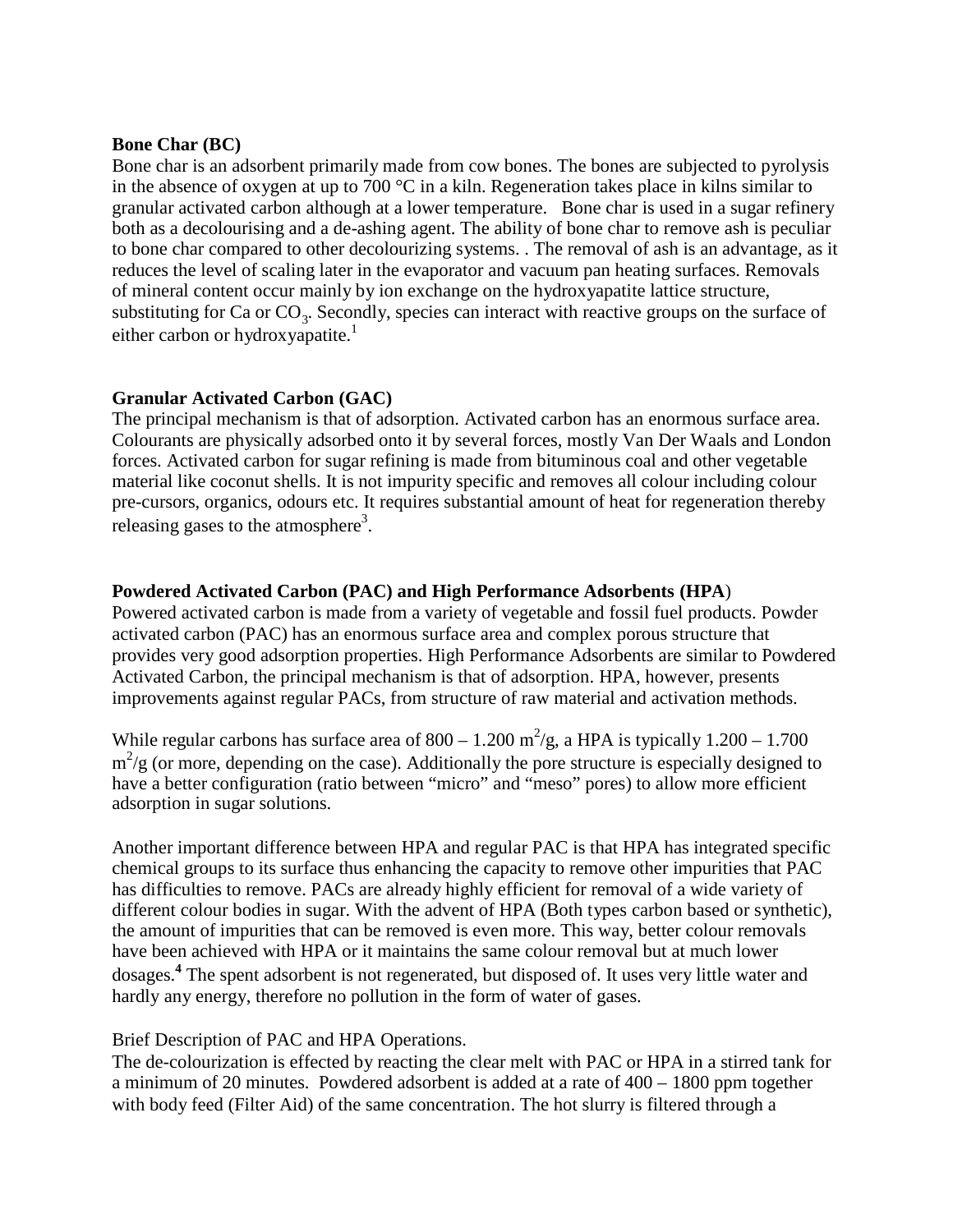#### **Bone Char (BC)**

Bone char is an adsorbent primarily made from cow bones. The bones are subjected to pyrolysis in the absence of oxygen at up to 700  $^{\circ}$ C in a kiln. Regeneration takes place in kilns similar to granular activated carbon although at a lower temperature. Bone char is used in a sugar refinery both as a decolourising and a de-ashing agent. The ability of bone char to remove ash is peculiar to bone char compared to other decolourizing systems. . The removal of ash is an advantage, as it reduces the level of scaling later in the evaporator and vacuum pan heating surfaces. Removals of mineral content occur mainly by ion exchange on the hydroxyapatite lattice structure, substituting for Ca or  $CO_3$ . Secondly, species can interact with reactive groups on the surface of either carbon or hydroxyapatite.<sup>1</sup>

#### **Granular Activated Carbon (GAC)**

The principal mechanism is that of adsorption. Activated carbon has an enormous surface area. Colourants are physically adsorbed onto it by several forces, mostly Van Der Waals and London forces. Activated carbon for sugar refining is made from bituminous coal and other vegetable material like coconut shells. It is not impurity specific and removes all colour including colour pre-cursors, organics, odours etc. It requires substantial amount of heat for regeneration thereby releasing gases to the atmosphere<sup>3</sup>.

#### **Powdered Activated Carbon (PAC) and High Performance Adsorbents (HPA**)

Powered activated carbon is made from a variety of vegetable and fossil fuel products. Powder activated carbon (PAC) has an enormous surface area and complex porous structure that provides very good adsorption properties. High Performance Adsorbents are similar to Powdered Activated Carbon, the principal mechanism is that of adsorption. HPA, however, presents improvements against regular PACs, from structure of raw material and activation methods.

While regular carbons has surface area of  $800 - 1.200$  m<sup>2</sup>/g, a HPA is typically  $1.200 - 1.700$  $m^2/g$  (or more, depending on the case). Additionally the pore structure is especially designed to have a better configuration (ratio between "micro" and "meso" pores) to allow more efficient adsorption in sugar solutions.

Another important difference between HPA and regular PAC is that HPA has integrated specific chemical groups to its surface thus enhancing the capacity to remove other impurities that PAC has difficulties to remove. PACs are already highly efficient for removal of a wide variety of different colour bodies in sugar. With the advent of HPA (Both types carbon based or synthetic), the amount of impurities that can be removed is even more. This way, better colour removals have been achieved with HPA or it maintains the same colour removal but at much lower dosages. **<sup>4</sup>** The spent adsorbent is not regenerated, but disposed of. It uses very little water and hardly any energy, therefore no pollution in the form of water of gases.

#### Brief Description of PAC and HPA Operations.

The de-colourization is effected by reacting the clear melt with PAC or HPA in a stirred tank for a minimum of 20 minutes. Powdered adsorbent is added at a rate of 400 – 1800 ppm together with body feed (Filter Aid) of the same concentration. The hot slurry is filtered through a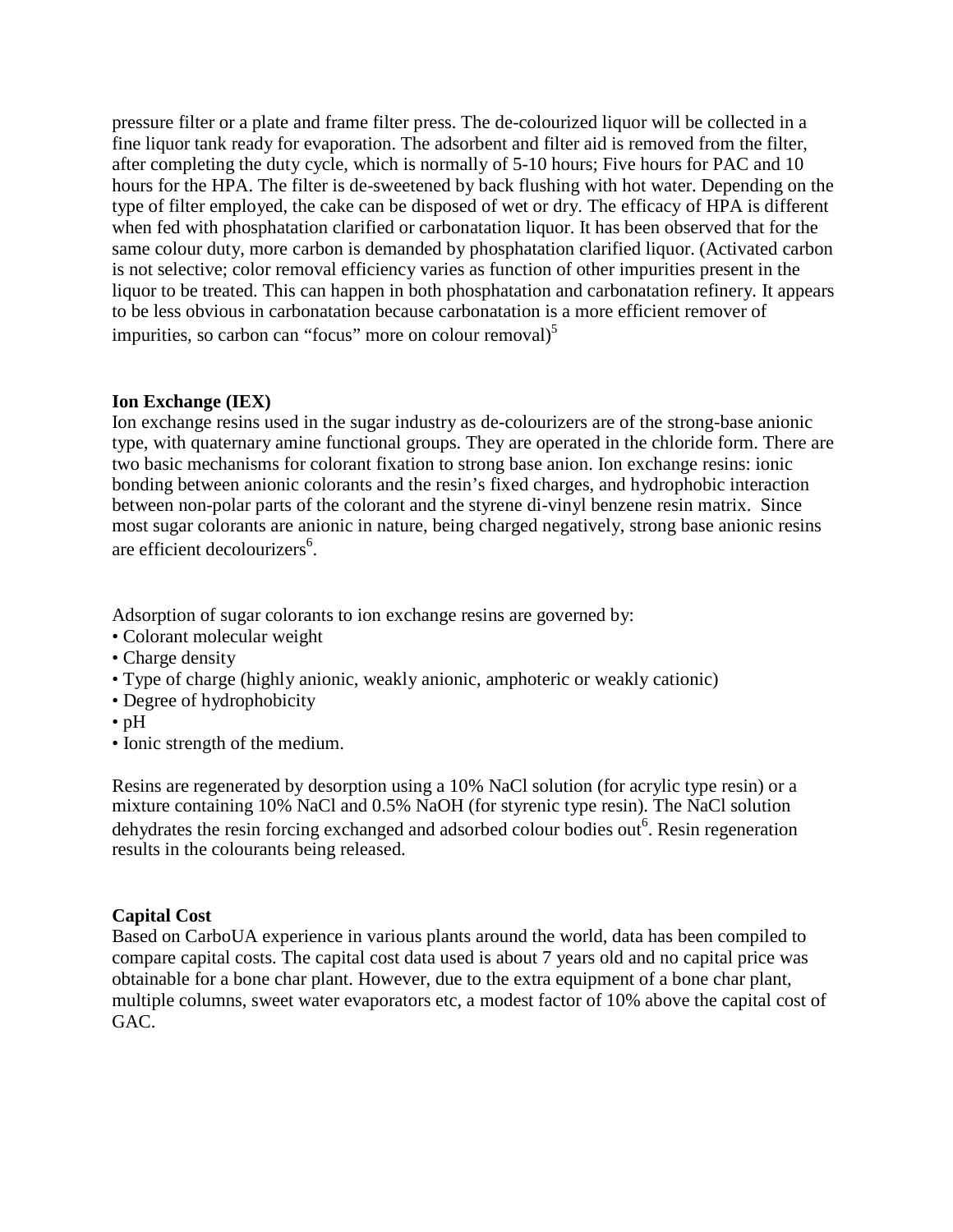pressure filter or a plate and frame filter press. The de-colourized liquor will be collected in a fine liquor tank ready for evaporation. The adsorbent and filter aid is removed from the filter, after completing the duty cycle, which is normally of 5-10 hours; Five hours for PAC and 10 hours for the HPA. The filter is de-sweetened by back flushing with hot water. Depending on the type of filter employed, the cake can be disposed of wet or dry. The efficacy of HPA is different when fed with phosphatation clarified or carbonatation liquor. It has been observed that for the same colour duty, more carbon is demanded by phosphatation clarified liquor. (Activated carbon is not selective; color removal efficiency varies as function of other impurities present in the liquor to be treated. This can happen in both phosphatation and carbonatation refinery. It appears to be less obvious in carbonatation because carbonatation is a more efficient remover of impurities, so carbon can "focus" more on colour removal)<sup>5</sup>

#### **Ion Exchange (IEX)**

Ion exchange resins used in the sugar industry as de-colourizers are of the strong-base anionic type, with quaternary amine functional groups. They are operated in the chloride form. There are two basic mechanisms for colorant fixation to strong base anion. Ion exchange resins: ionic bonding between anionic colorants and the resin's fixed charges, and hydrophobic interaction between non-polar parts of the colorant and the styrene di-vinyl benzene resin matrix. Since most sugar colorants are anionic in nature, being charged negatively, strong base anionic resins are efficient decolourizers 6 .

Adsorption of sugar colorants to ion exchange resins are governed by:

- Colorant molecular weight
- Charge density
- Type of charge (highly anionic, weakly anionic, amphoteric or weakly cationic)
- Degree of hydrophobicity
- $\cdot$  pH
- Ionic strength of the medium.

Resins are regenerated by desorption using a 10% NaCl solution (for acrylic type resin) or a mixture containing 10% NaCl and 0.5% NaOH (for styrenic type resin). The NaCl solution dehydrates the resin forcing exchanged and adsorbed colour bodies out<sup>6</sup>. Resin regeneration results in the colourants being released.

#### **Capital Cost**

Based on CarboUA experience in various plants around the world, data has been compiled to compare capital costs. The capital cost data used is about 7 years old and no capital price was obtainable for a bone char plant. However, due to the extra equipment of a bone char plant, multiple columns, sweet water evaporators etc, a modest factor of 10% above the capital cost of GAC.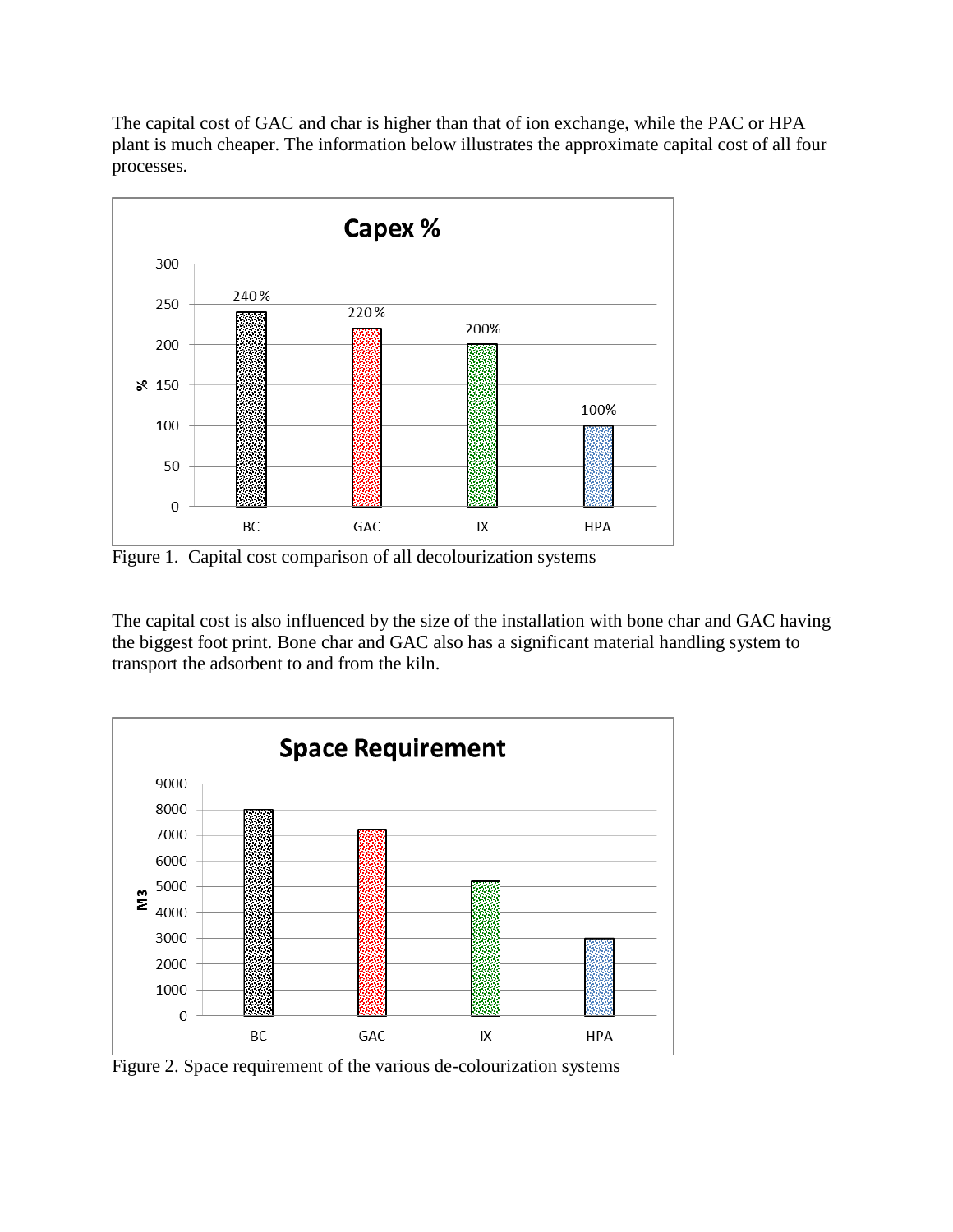The capital cost of GAC and char is higher than that of ion exchange, while the PAC or HPA plant is much cheaper. The information below illustrates the approximate capital cost of all four processes.



Figure 1. Capital cost comparison of all decolourization systems

The capital cost is also influenced by the size of the installation with bone char and GAC having the biggest foot print. Bone char and GAC also has a significant material handling system to transport the adsorbent to and from the kiln.



Figure 2. Space requirement of the various de-colourization systems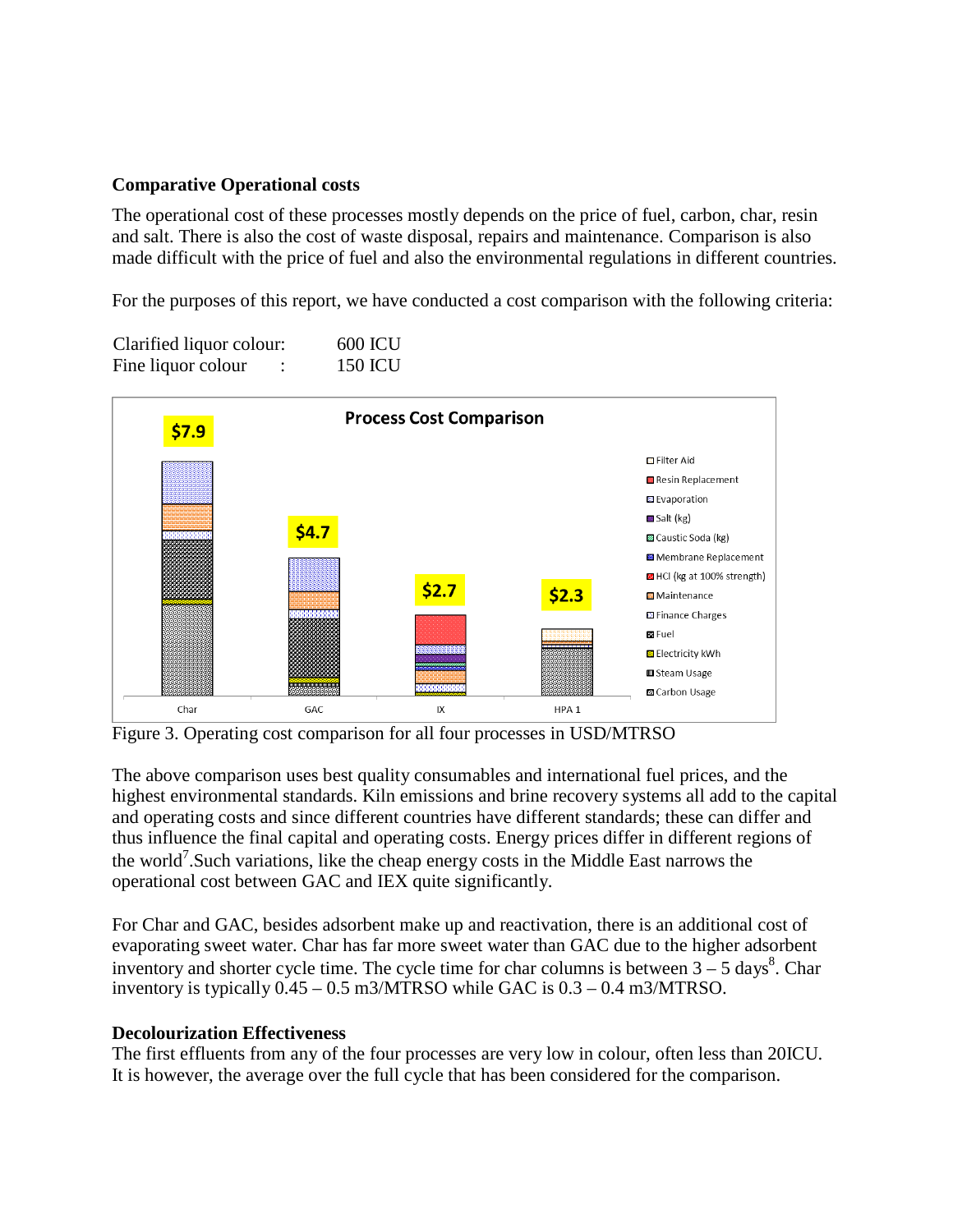#### **Comparative Operational costs**

The operational cost of these processes mostly depends on the price of fuel, carbon, char, resin and salt. There is also the cost of waste disposal, repairs and maintenance. Comparison is also made difficult with the price of fuel and also the environmental regulations in different countries.

For the purposes of this report, we have conducted a cost comparison with the following criteria:

| Clarified liquor colour: | <b>600 ICU</b> |                |  |
|--------------------------|----------------|----------------|--|
| Fine liquor colour       |                | <b>150 ICU</b> |  |



Figure 3. Operating cost comparison for all four processes in USD/MTRSO

The above comparison uses best quality consumables and international fuel prices, and the highest environmental standards. Kiln emissions and brine recovery systems all add to the capital and operating costs and since different countries have different standards; these can differ and thus influence the final capital and operating costs. Energy prices differ in different regions of the world<sup>7</sup>. Such variations, like the cheap energy costs in the Middle East narrows the operational cost between GAC and IEX quite significantly.

For Char and GAC, besides adsorbent make up and reactivation, there is an additional cost of evaporating sweet water. Char has far more sweet water than GAC due to the higher adsorbent inventory and shorter cycle time. The cycle time for char columns is between  $3 - 5$  days<sup>8</sup>. Char inventory is typically 0.45 – 0.5 m3/MTRSO while GAC is 0.3 – 0.4 m3/MTRSO.

#### **Decolourization Effectiveness**

The first effluents from any of the four processes are very low in colour, often less than 20ICU. It is however, the average over the full cycle that has been considered for the comparison.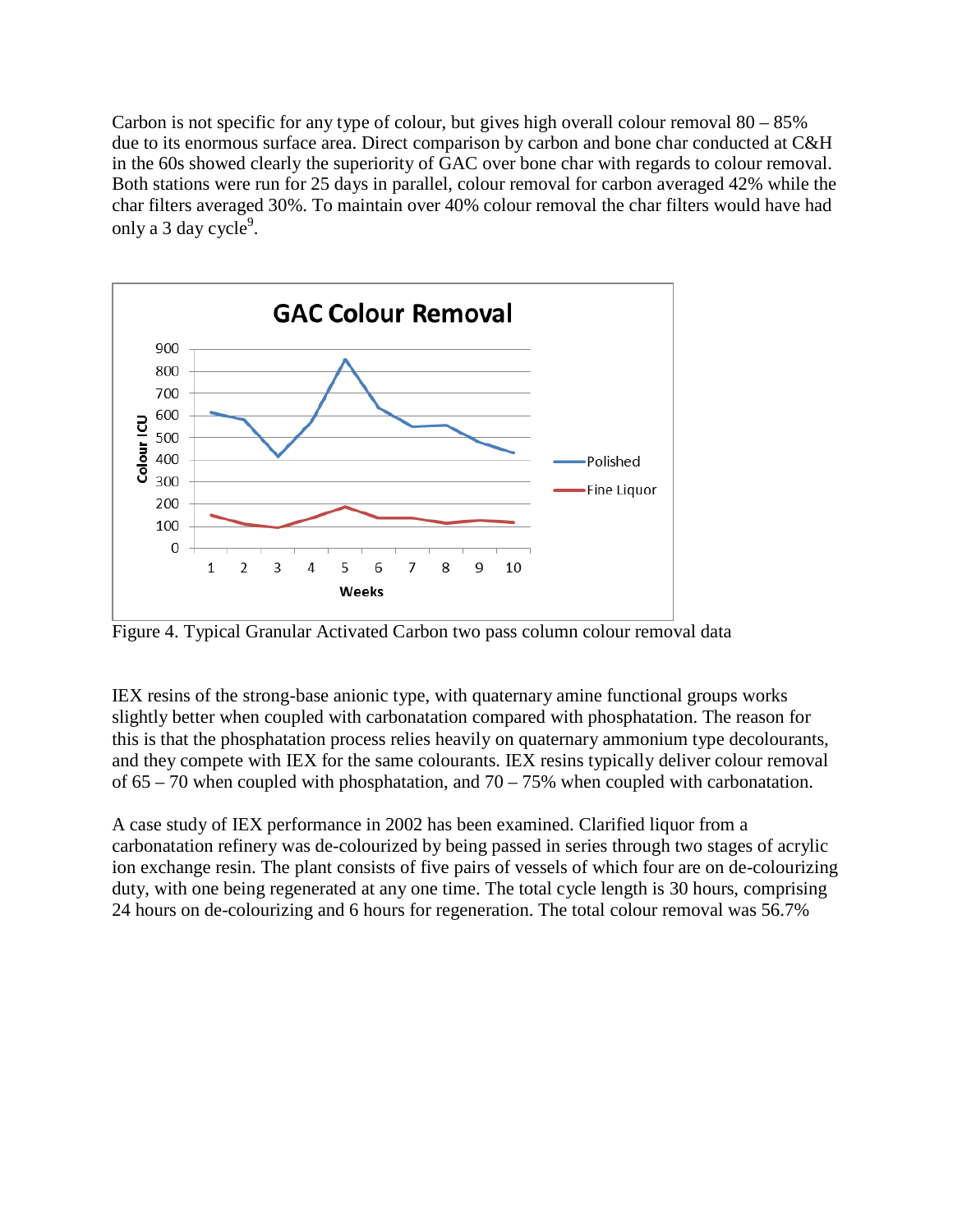Carbon is not specific for any type of colour, but gives high overall colour removal  $80 - 85\%$ due to its enormous surface area. Direct comparison by carbon and bone char conducted at C&H in the 60s showed clearly the superiority of GAC over bone char with regards to colour removal. Both stations were run for 25 days in parallel, colour removal for carbon averaged 42% while the char filters averaged 30%. To maintain over 40% colour removal the char filters would have had only a 3 day cycle<sup>9</sup>.



Figure 4. Typical Granular Activated Carbon two pass column colour removal data

IEX resins of the strong-base anionic type, with quaternary amine functional groups works slightly better when coupled with carbonatation compared with phosphatation. The reason for this is that the phosphatation process relies heavily on quaternary ammonium type decolourants, and they compete with IEX for the same colourants. IEX resins typically deliver colour removal of  $65 - 70$  when coupled with phosphatation, and  $70 - 75%$  when coupled with carbonatation.

A case study of IEX performance in 2002 has been examined. Clarified liquor from a carbonatation refinery was de-colourized by being passed in series through two stages of acrylic ion exchange resin. The plant consists of five pairs of vessels of which four are on de-colourizing duty, with one being regenerated at any one time. The total cycle length is 30 hours, comprising 24 hours on de-colourizing and 6 hours for regeneration. The total colour removal was 56.7%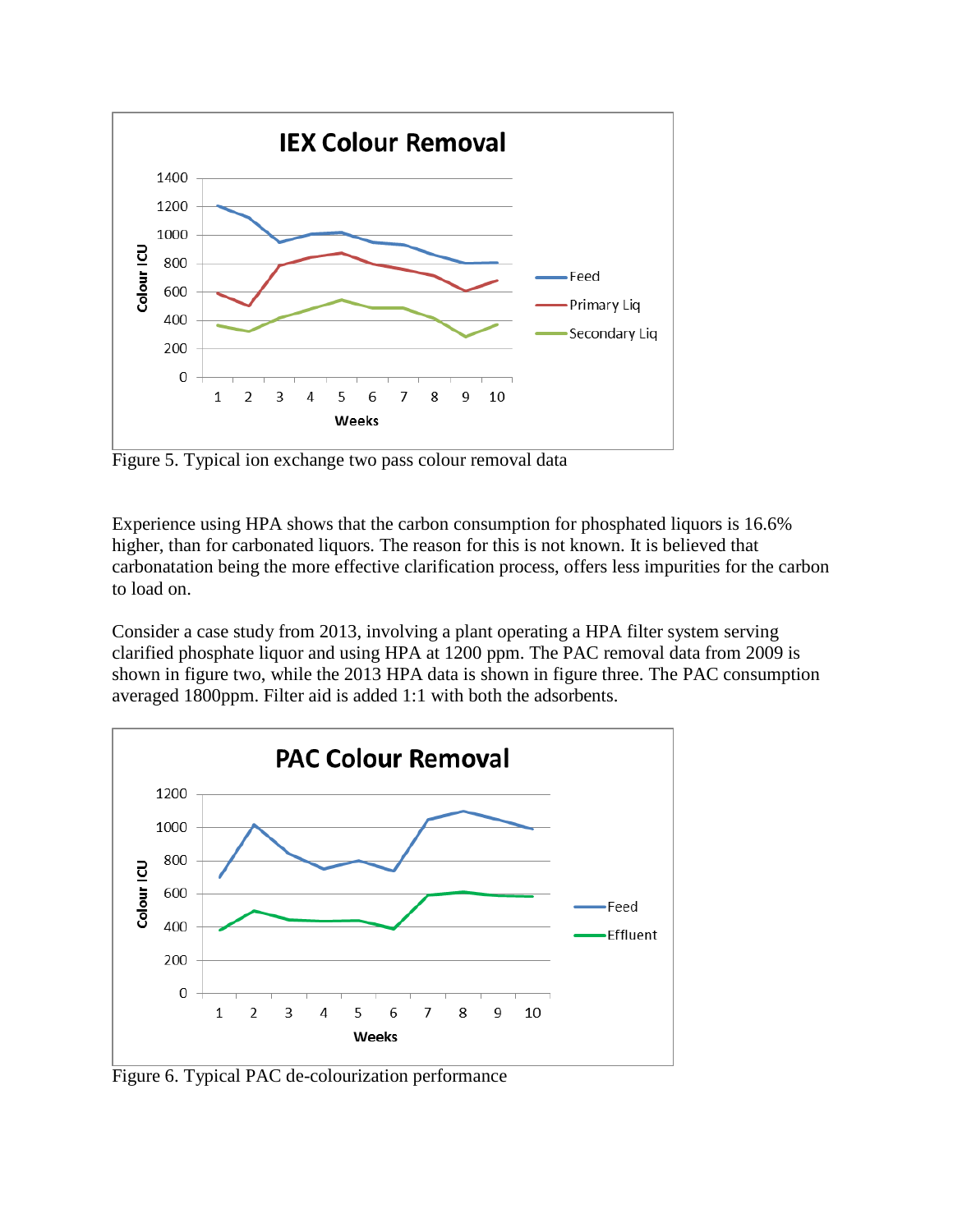

Figure 5. Typical ion exchange two pass colour removal data

Experience using HPA shows that the carbon consumption for phosphated liquors is 16.6% higher, than for carbonated liquors. The reason for this is not known. It is believed that carbonatation being the more effective clarification process, offers less impurities for the carbon to load on.

Consider a case study from 2013, involving a plant operating a HPA filter system serving clarified phosphate liquor and using HPA at 1200 ppm. The PAC removal data from 2009 is shown in figure two, while the 2013 HPA data is shown in figure three. The PAC consumption averaged 1800ppm. Filter aid is added 1:1 with both the adsorbents.



Figure 6. Typical PAC de-colourization performance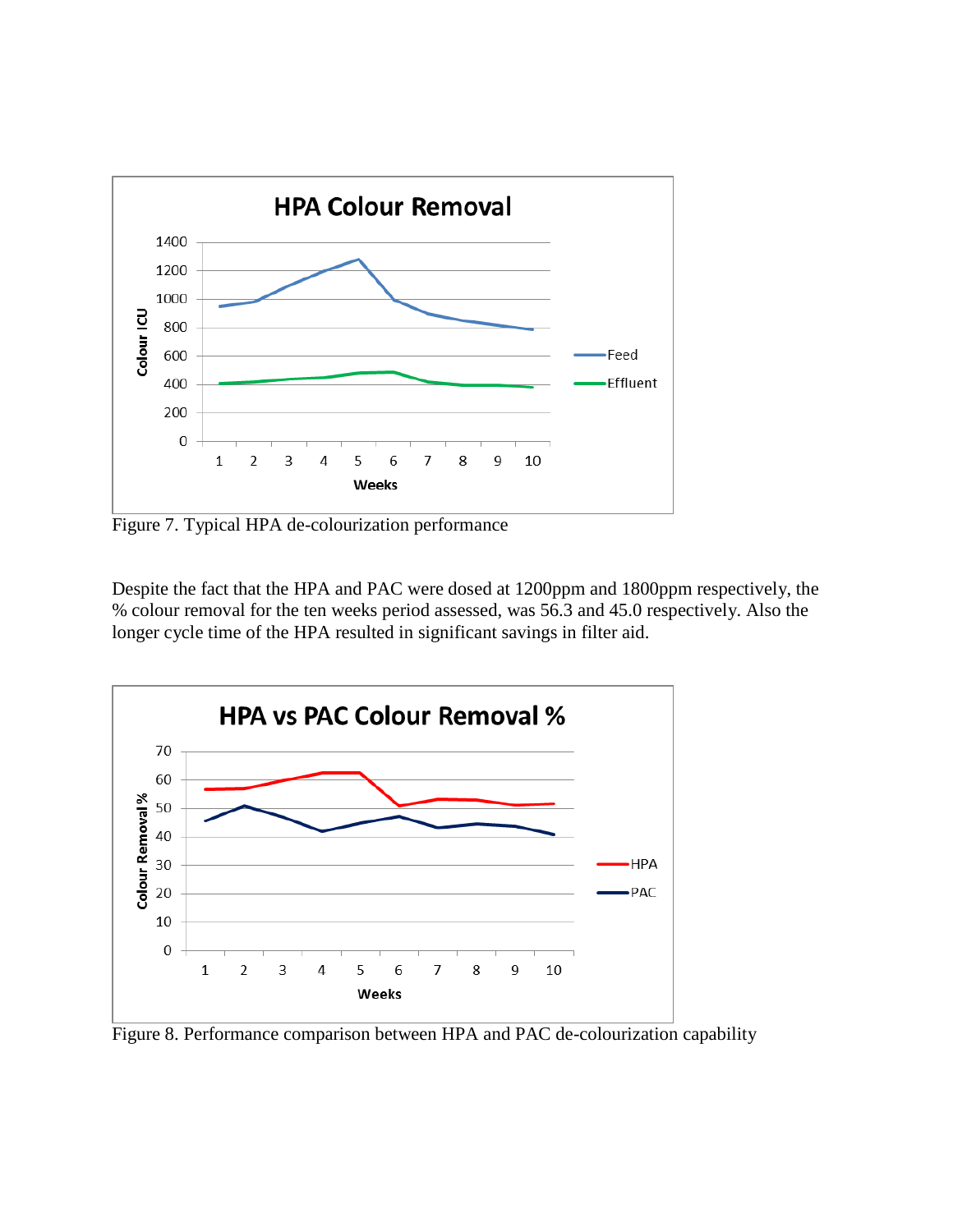

Figure 7. Typical HPA de-colourization performance

Despite the fact that the HPA and PAC were dosed at 1200ppm and 1800ppm respectively, the % colour removal for the ten weeks period assessed, was 56.3 and 45.0 respectively. Also the longer cycle time of the HPA resulted in significant savings in filter aid.



Figure 8. Performance comparison between HPA and PAC de-colourization capability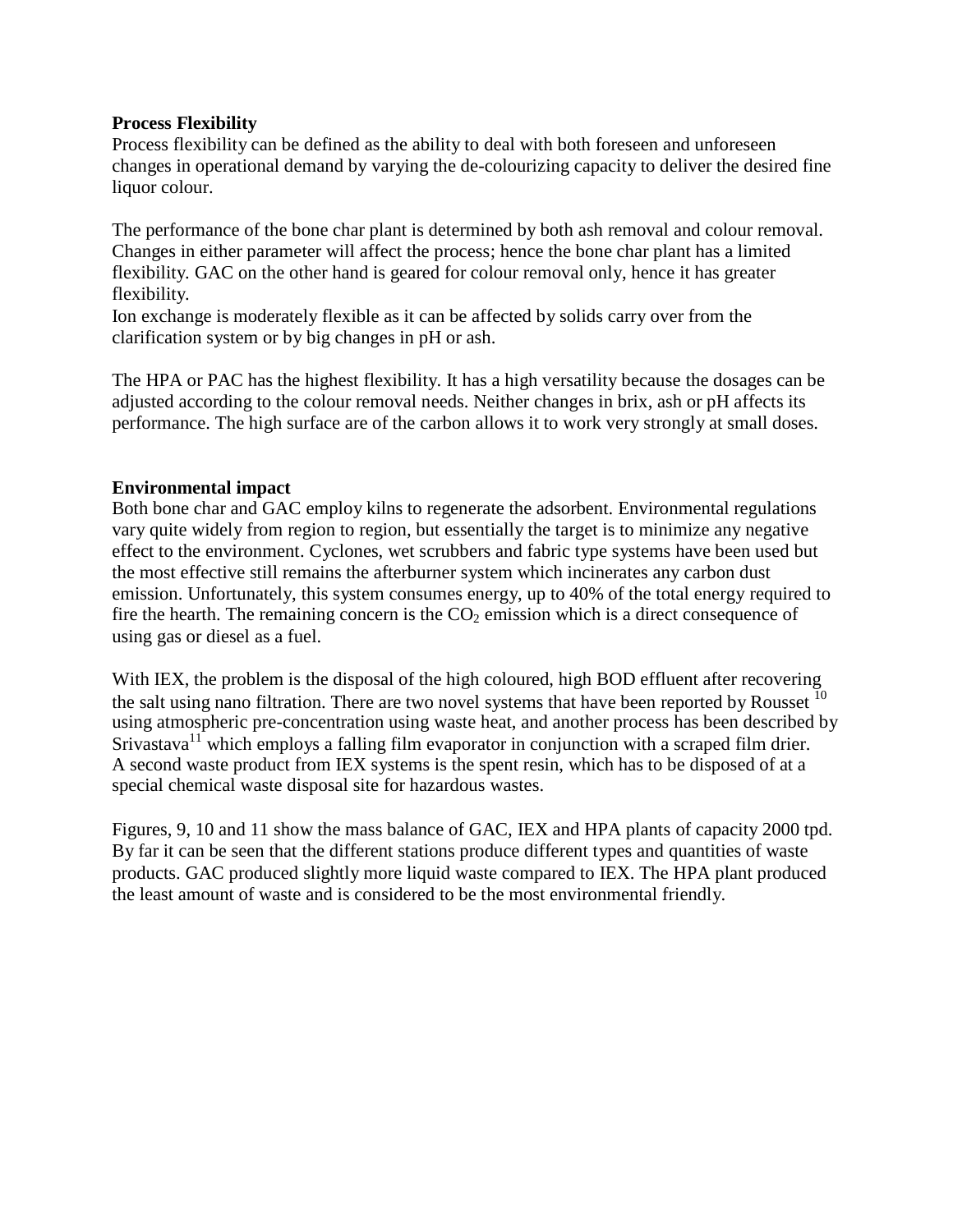#### **Process Flexibility**

Process flexibility can be defined as the ability to deal with both foreseen and unforeseen changes in operational demand by varying the de-colourizing capacity to deliver the desired fine liquor colour.

The performance of the bone char plant is determined by both ash removal and colour removal. Changes in either parameter will affect the process; hence the bone char plant has a limited flexibility. GAC on the other hand is geared for colour removal only, hence it has greater flexibility.

Ion exchange is moderately flexible as it can be affected by solids carry over from the clarification system or by big changes in pH or ash.

The HPA or PAC has the highest flexibility. It has a high versatility because the dosages can be adjusted according to the colour removal needs. Neither changes in brix, ash or pH affects its performance. The high surface are of the carbon allows it to work very strongly at small doses.

### **Environmental impact**

Both bone char and GAC employ kilns to regenerate the adsorbent. Environmental regulations vary quite widely from region to region, but essentially the target is to minimize any negative effect to the environment. Cyclones, wet scrubbers and fabric type systems have been used but the most effective still remains the afterburner system which incinerates any carbon dust emission. Unfortunately, this system consumes energy, up to 40% of the total energy required to fire the hearth. The remaining concern is the  $CO<sub>2</sub>$  emission which is a direct consequence of using gas or diesel as a fuel.

With IEX, the problem is the disposal of the high coloured, high BOD effluent after recovering the salt using nano filtration. There are two novel systems that have been reported by Rousset  $10$ using atmospheric pre-concentration using waste heat, and another process has been described by Srivastava<sup>11</sup> which employs a falling film evaporator in conjunction with a scraped film drier. A second waste product from IEX systems is the spent resin, which has to be disposed of at a special chemical waste disposal site for hazardous wastes.

Figures, 9, 10 and 11 show the mass balance of GAC, IEX and HPA plants of capacity 2000 tpd. By far it can be seen that the different stations produce different types and quantities of waste products. GAC produced slightly more liquid waste compared to IEX. The HPA plant produced the least amount of waste and is considered to be the most environmental friendly.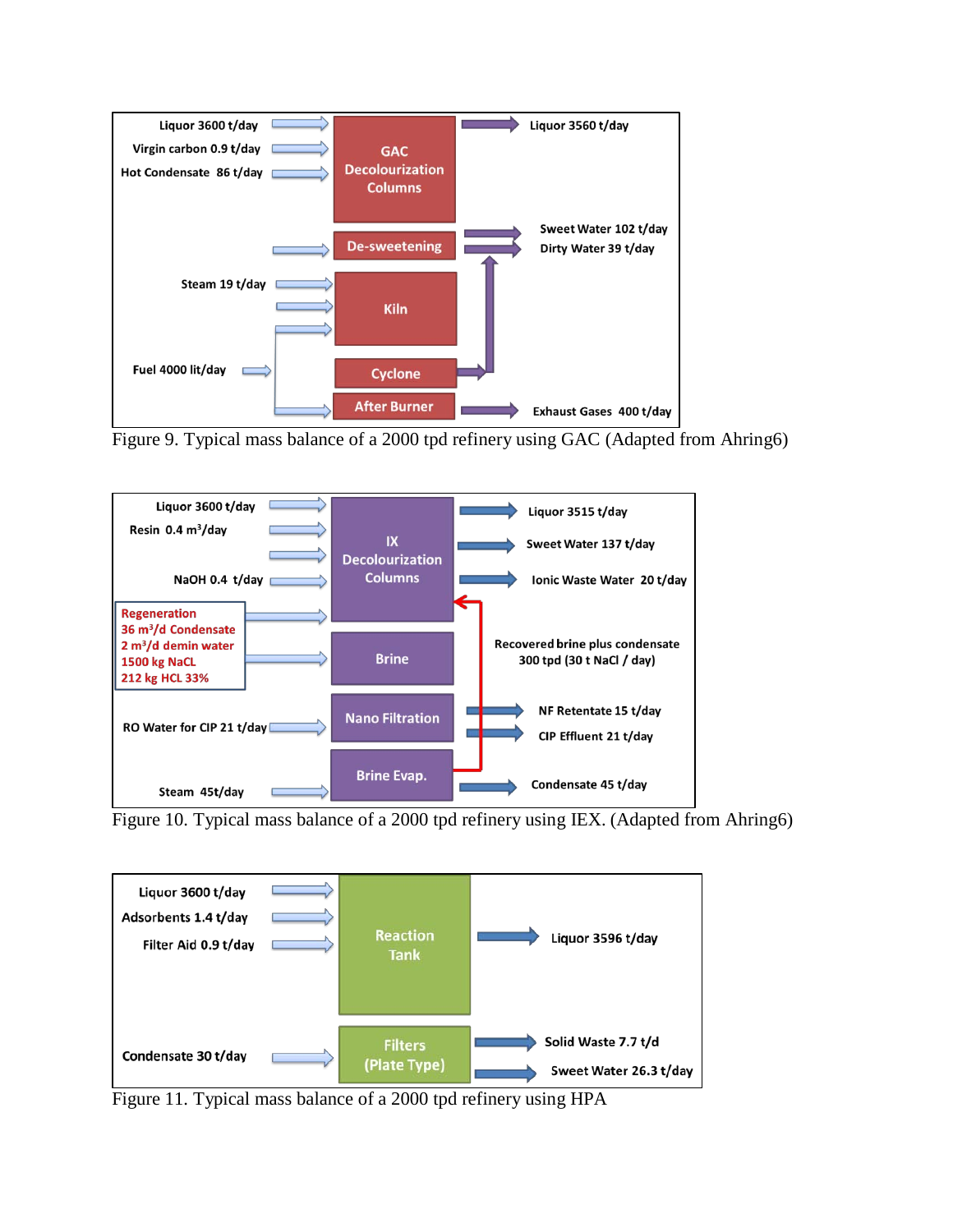

Figure 9. Typical mass balance of a 2000 tpd refinery using GAC (Adapted from Ahring6)



Figure 10. Typical mass balance of a 2000 tpd refinery using IEX. (Adapted from Ahring6)



Figure 11. Typical mass balance of a 2000 tpd refinery using HPA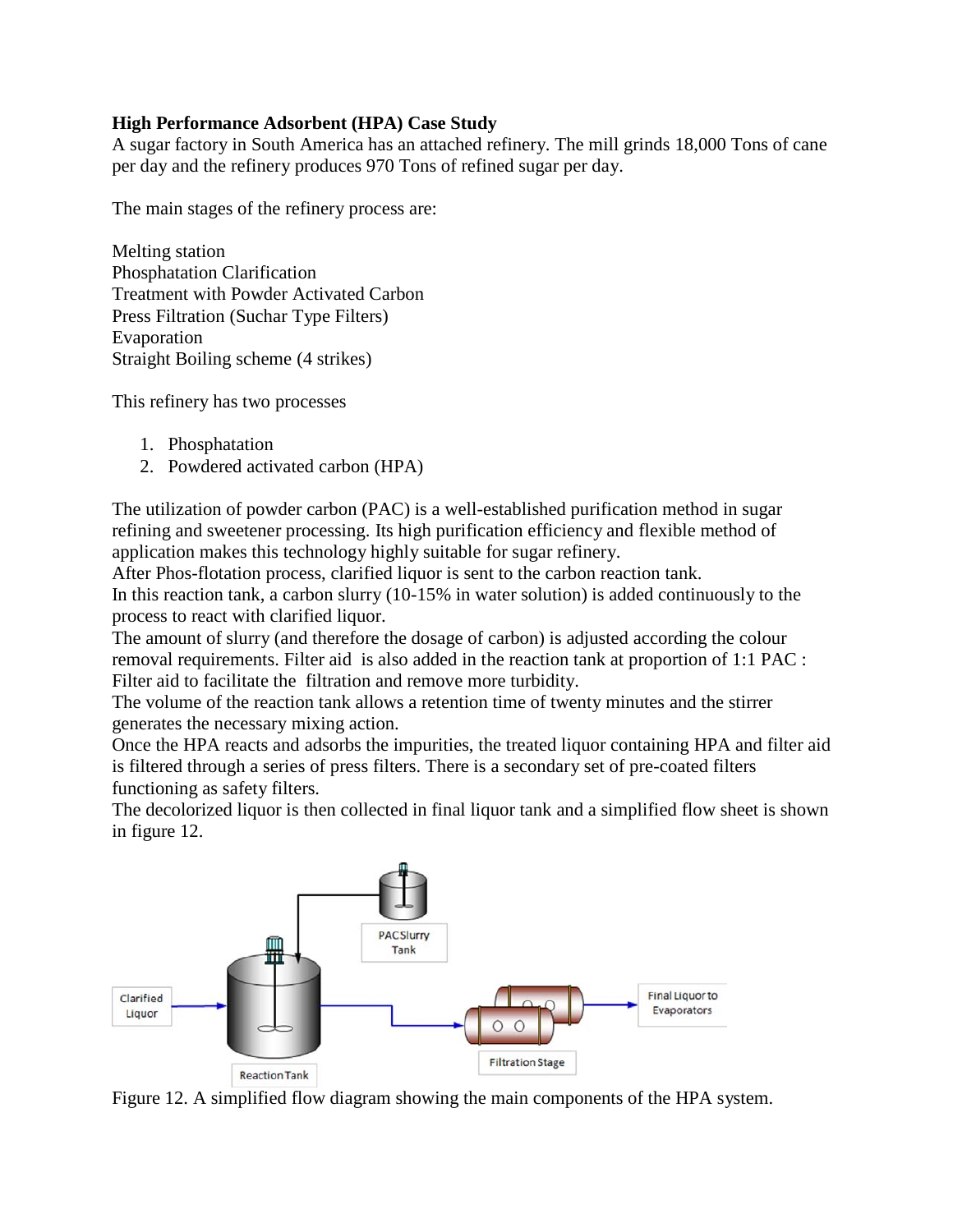## **High Performance Adsorbent (HPA) Case Study**

A sugar factory in South America has an attached refinery. The mill grinds 18,000 Tons of cane per day and the refinery produces 970 Tons of refined sugar per day.

The main stages of the refinery process are:

Melting station Phosphatation Clarification Treatment with Powder Activated Carbon Press Filtration (Suchar Type Filters) Evaporation Straight Boiling scheme (4 strikes)

This refinery has two processes

- 1. Phosphatation
- 2. Powdered activated carbon (HPA)

The utilization of powder carbon (PAC) is a well-established purification method in sugar refining and sweetener processing. Its high purification efficiency and flexible method of application makes this technology highly suitable for sugar refinery.

After Phos-flotation process, clarified liquor is sent to the carbon reaction tank.

In this reaction tank, a carbon slurry (10-15% in water solution) is added continuously to the process to react with clarified liquor.

The amount of slurry (and therefore the dosage of carbon) is adjusted according the colour removal requirements. Filter aid is also added in the reaction tank at proportion of 1:1 PAC : Filter aid to facilitate the filtration and remove more turbidity.

The volume of the reaction tank allows a retention time of twenty minutes and the stirrer generates the necessary mixing action.

Once the HPA reacts and adsorbs the impurities, the treated liquor containing HPA and filter aid is filtered through a series of press filters. There is a secondary set of pre-coated filters functioning as safety filters.

The decolorized liquor is then collected in final liquor tank and a simplified flow sheet is shown in figure 12.



Figure 12. A simplified flow diagram showing the main components of the HPA system.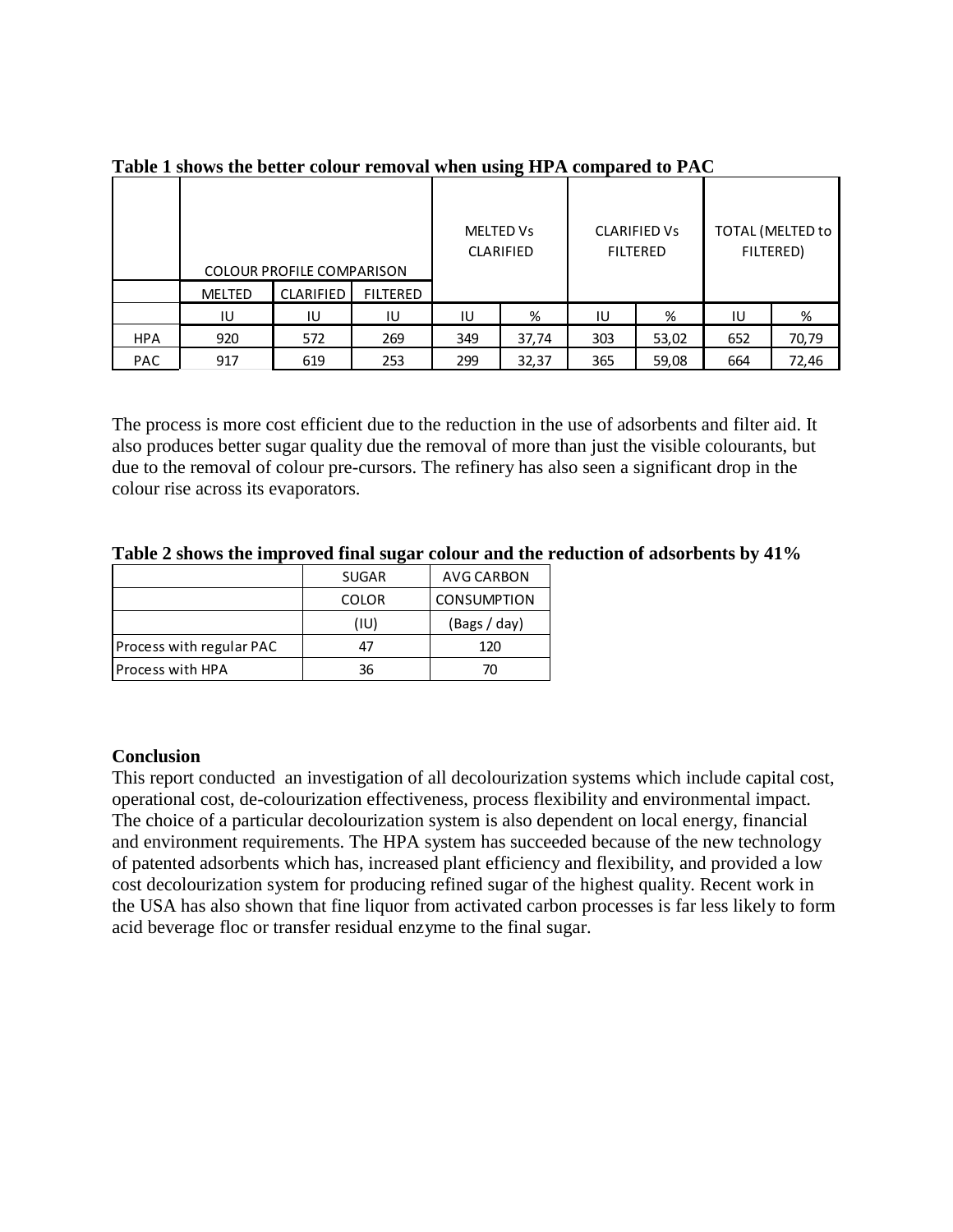|            |               | <b>MELTED Vs</b><br><b>CLARIFIED</b><br>COLOUR PROFILE COMPARISON |                 |     | <b>CLARIFIED Vs</b><br><b>FILTERED</b> |     | TOTAL (MELTED to<br>FILTERED) |     |       |
|------------|---------------|-------------------------------------------------------------------|-----------------|-----|----------------------------------------|-----|-------------------------------|-----|-------|
|            | <b>MELTED</b> | <b>CLARIFIED</b>                                                  | <b>FILTERED</b> |     |                                        |     |                               |     |       |
|            | IU            | IU                                                                | IU              | IU  | %                                      | IU  | %                             | IU  | %     |
| <b>HPA</b> | 920           | 572                                                               | 269             | 349 | 37,74                                  | 303 | 53,02                         | 652 | 70,79 |
| <b>PAC</b> | 917           | 619                                                               | 253             | 299 | 32,37                                  | 365 | 59,08                         | 664 | 72,46 |

**Table 1 shows the better colour removal when using HPA compared to PAC**

The process is more cost efficient due to the reduction in the use of adsorbents and filter aid. It also produces better sugar quality due the removal of more than just the visible colourants, but due to the removal of colour pre-cursors. The refinery has also seen a significant drop in the colour rise across its evaporators.

|                          | <b>SUGAR</b> | AVG CARBON         |
|--------------------------|--------------|--------------------|
|                          | <b>COLOR</b> | <b>CONSUMPTION</b> |
|                          | (IU)         | (Bags / day)       |
| Process with regular PAC | Δ7           | 120                |
| <b>Process with HPA</b>  | 36           | 70                 |

**Table 2 shows the improved final sugar colour and the reduction of adsorbents by 41%**

## **Conclusion**

This report conducted an investigation of all decolourization systems which include capital cost, operational cost, de-colourization effectiveness, process flexibility and environmental impact. The choice of a particular decolourization system is also dependent on local energy, financial and environment requirements. The HPA system has succeeded because of the new technology of patented adsorbents which has, increased plant efficiency and flexibility, and provided a low cost decolourization system for producing refined sugar of the highest quality. Recent work in the USA has also shown that fine liquor from activated carbon processes is far less likely to form acid beverage floc or transfer residual enzyme to the final sugar.